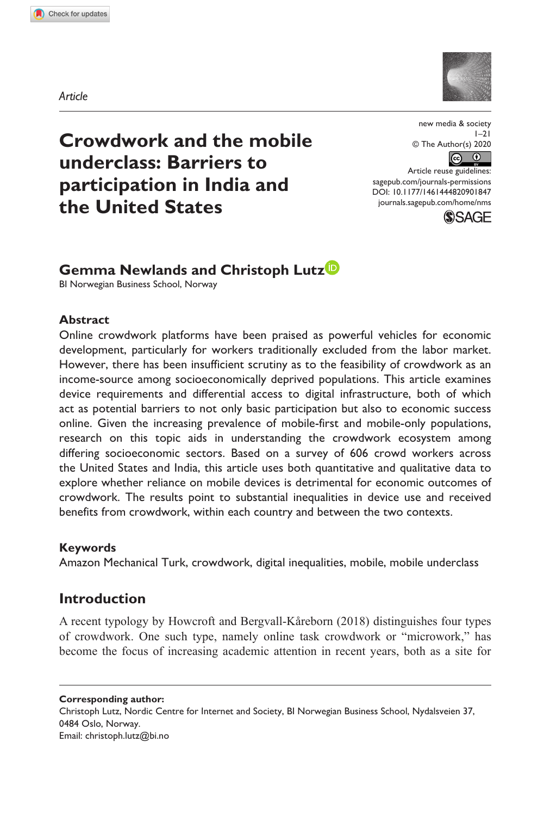**9018[47](http://crossmark.crossref.org/dialog/?doi=10.1177%2F1461444820901847&domain=pdf&date_stamp=2020-01-27)** NMS0010.1177/1461444820901847new media & society**Newlands and Lutz**



**Crowdwork and the mobile underclass: Barriers to participation in India and the United States**

new media & society  $1 - 21$ © The Author(s) 2020  $\odot$   $\odot$ 

DOI: 10.1177/1461444820901847 Article reuse guidelines: [sagepub.com/journals-permissions](https://uk.sagepub.com/en-gb/journals-permissions) [journals.sagepub.com/home/nms](https://journals.sagepub.com/home/nms)



# **Gemma Newlands and Christoph Lutz**

BI Norwegian Business School, Norway

## **Abstract**

Online crowdwork platforms have been praised as powerful vehicles for economic development, particularly for workers traditionally excluded from the labor market. However, there has been insufficient scrutiny as to the feasibility of crowdwork as an income-source among socioeconomically deprived populations. This article examines device requirements and differential access to digital infrastructure, both of which act as potential barriers to not only basic participation but also to economic success online. Given the increasing prevalence of mobile-first and mobile-only populations, research on this topic aids in understanding the crowdwork ecosystem among differing socioeconomic sectors. Based on a survey of 606 crowd workers across the United States and India, this article uses both quantitative and qualitative data to explore whether reliance on mobile devices is detrimental for economic outcomes of crowdwork. The results point to substantial inequalities in device use and received benefits from crowdwork, within each country and between the two contexts.

#### **Keywords**

Amazon Mechanical Turk, crowdwork, digital inequalities, mobile, mobile underclass

# **Introduction**

A recent typology by Howcroft and Bergvall-Kåreborn (2018) distinguishes four types of crowdwork. One such type, namely online task crowdwork or "microwork," has become the focus of increasing academic attention in recent years, both as a site for

**Corresponding author:** Christoph Lutz, Nordic Centre for Internet and Society, BI Norwegian Business School, Nydalsveien 37, 0484 Oslo, Norway. Email: [christoph.lutz@bi.no](mailto:christoph.lutz@bi.no)

*Article*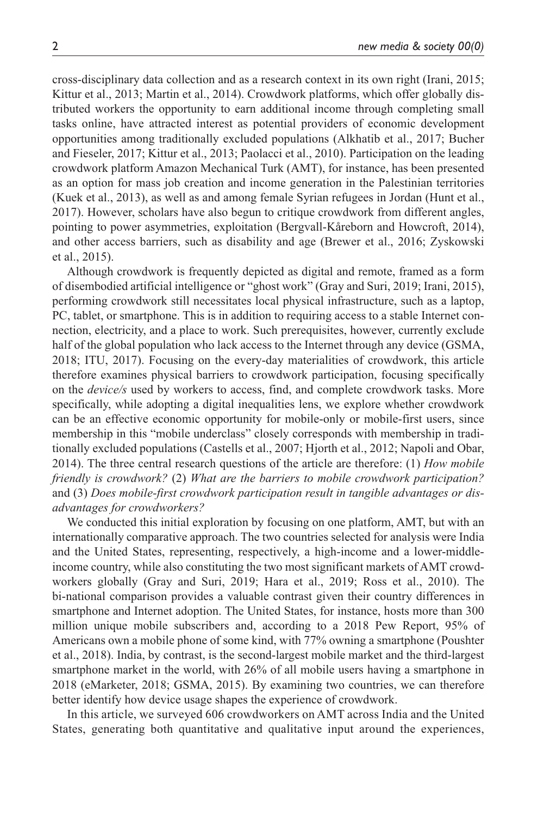cross-disciplinary data collection and as a research context in its own right (Irani, 2015; Kittur et al., 2013; Martin et al., 2014). Crowdwork platforms, which offer globally distributed workers the opportunity to earn additional income through completing small tasks online, have attracted interest as potential providers of economic development opportunities among traditionally excluded populations (Alkhatib et al., 2017; Bucher and Fieseler, 2017; Kittur et al., 2013; Paolacci et al., 2010). Participation on the leading crowdwork platform Amazon Mechanical Turk (AMT), for instance, has been presented as an option for mass job creation and income generation in the Palestinian territories (Kuek et al., 2013), as well as and among female Syrian refugees in Jordan (Hunt et al., 2017). However, scholars have also begun to critique crowdwork from different angles, pointing to power asymmetries, exploitation (Bergvall-Kåreborn and Howcroft, 2014), and other access barriers, such as disability and age (Brewer et al., 2016; Zyskowski et al., 2015).

Although crowdwork is frequently depicted as digital and remote, framed as a form of disembodied artificial intelligence or "ghost work" (Gray and Suri, 2019; Irani, 2015), performing crowdwork still necessitates local physical infrastructure, such as a laptop, PC, tablet, or smartphone. This is in addition to requiring access to a stable Internet connection, electricity, and a place to work. Such prerequisites, however, currently exclude half of the global population who lack access to the Internet through any device (GSMA, 2018; ITU, 2017). Focusing on the every-day materialities of crowdwork, this article therefore examines physical barriers to crowdwork participation, focusing specifically on the *device/s* used by workers to access, find, and complete crowdwork tasks. More specifically, while adopting a digital inequalities lens, we explore whether crowdwork can be an effective economic opportunity for mobile-only or mobile-first users, since membership in this "mobile underclass" closely corresponds with membership in traditionally excluded populations (Castells et al., 2007; Hjorth et al., 2012; Napoli and Obar, 2014). The three central research questions of the article are therefore: (1) *How mobile friendly is crowdwork?* (2) *What are the barriers to mobile crowdwork participation?* and (3) *Does mobile-first crowdwork participation result in tangible advantages or disadvantages for crowdworkers?*

We conducted this initial exploration by focusing on one platform, AMT, but with an internationally comparative approach. The two countries selected for analysis were India and the United States, representing, respectively, a high-income and a lower-middleincome country, while also constituting the two most significant markets of AMT crowdworkers globally (Gray and Suri, 2019; Hara et al., 2019; Ross et al., 2010). The bi-national comparison provides a valuable contrast given their country differences in smartphone and Internet adoption. The United States, for instance, hosts more than 300 million unique mobile subscribers and, according to a 2018 Pew Report, 95% of Americans own a mobile phone of some kind, with 77% owning a smartphone (Poushter et al., 2018). India, by contrast, is the second-largest mobile market and the third-largest smartphone market in the world, with 26% of all mobile users having a smartphone in 2018 (eMarketer, 2018; GSMA, 2015). By examining two countries, we can therefore better identify how device usage shapes the experience of crowdwork.

In this article, we surveyed 606 crowdworkers on AMT across India and the United States, generating both quantitative and qualitative input around the experiences,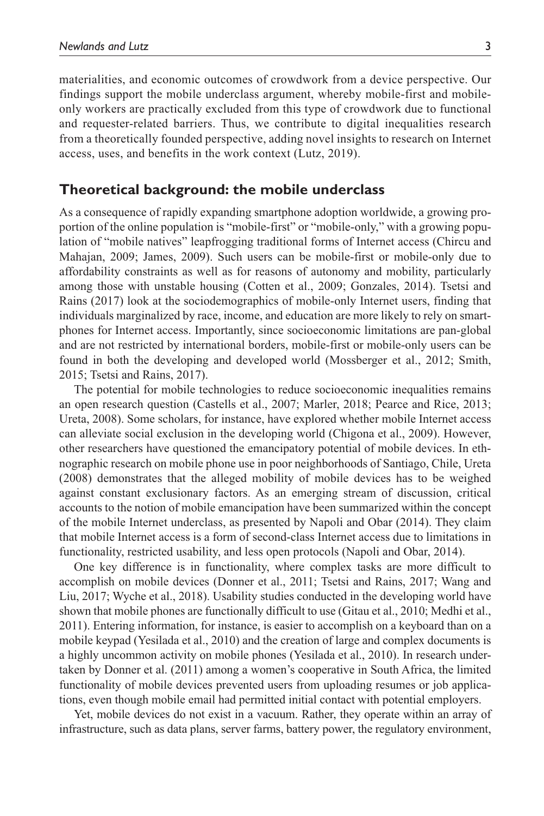materialities, and economic outcomes of crowdwork from a device perspective. Our findings support the mobile underclass argument, whereby mobile-first and mobileonly workers are practically excluded from this type of crowdwork due to functional and requester-related barriers. Thus, we contribute to digital inequalities research from a theoretically founded perspective, adding novel insights to research on Internet access, uses, and benefits in the work context (Lutz, 2019).

## **Theoretical background: the mobile underclass**

As a consequence of rapidly expanding smartphone adoption worldwide, a growing proportion of the online population is "mobile-first" or "mobile-only," with a growing population of "mobile natives" leapfrogging traditional forms of Internet access (Chircu and Mahajan, 2009; James, 2009). Such users can be mobile-first or mobile-only due to affordability constraints as well as for reasons of autonomy and mobility, particularly among those with unstable housing (Cotten et al., 2009; Gonzales, 2014). Tsetsi and Rains (2017) look at the sociodemographics of mobile-only Internet users, finding that individuals marginalized by race, income, and education are more likely to rely on smartphones for Internet access. Importantly, since socioeconomic limitations are pan-global and are not restricted by international borders, mobile-first or mobile-only users can be found in both the developing and developed world (Mossberger et al., 2012; Smith, 2015; Tsetsi and Rains, 2017).

The potential for mobile technologies to reduce socioeconomic inequalities remains an open research question (Castells et al., 2007; Marler, 2018; Pearce and Rice, 2013; Ureta, 2008). Some scholars, for instance, have explored whether mobile Internet access can alleviate social exclusion in the developing world (Chigona et al., 2009). However, other researchers have questioned the emancipatory potential of mobile devices. In ethnographic research on mobile phone use in poor neighborhoods of Santiago, Chile, Ureta (2008) demonstrates that the alleged mobility of mobile devices has to be weighed against constant exclusionary factors. As an emerging stream of discussion, critical accounts to the notion of mobile emancipation have been summarized within the concept of the mobile Internet underclass, as presented by Napoli and Obar (2014). They claim that mobile Internet access is a form of second-class Internet access due to limitations in functionality, restricted usability, and less open protocols (Napoli and Obar, 2014).

One key difference is in functionality, where complex tasks are more difficult to accomplish on mobile devices (Donner et al., 2011; Tsetsi and Rains, 2017; Wang and Liu, 2017; Wyche et al., 2018). Usability studies conducted in the developing world have shown that mobile phones are functionally difficult to use (Gitau et al., 2010; Medhi et al., 2011). Entering information, for instance, is easier to accomplish on a keyboard than on a mobile keypad (Yesilada et al., 2010) and the creation of large and complex documents is a highly uncommon activity on mobile phones (Yesilada et al., 2010). In research undertaken by Donner et al. (2011) among a women's cooperative in South Africa, the limited functionality of mobile devices prevented users from uploading resumes or job applications, even though mobile email had permitted initial contact with potential employers.

Yet, mobile devices do not exist in a vacuum. Rather, they operate within an array of infrastructure, such as data plans, server farms, battery power, the regulatory environment,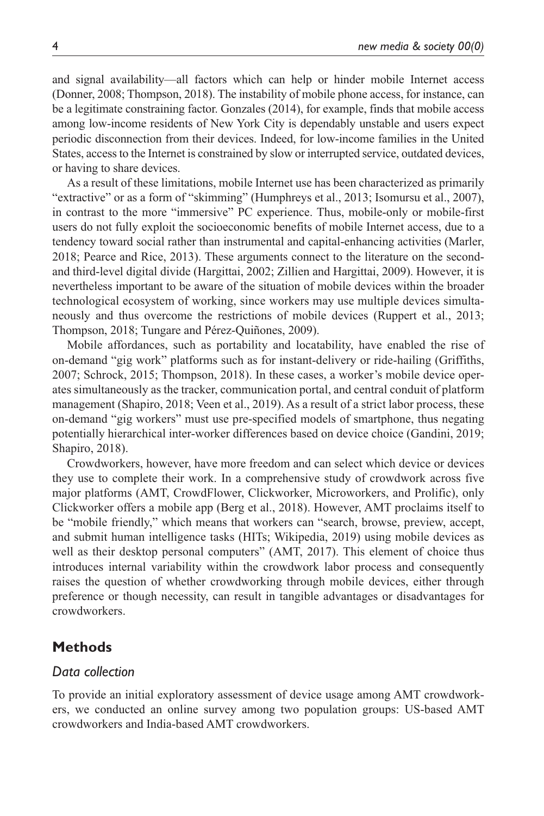and signal availability—all factors which can help or hinder mobile Internet access (Donner, 2008; Thompson, 2018). The instability of mobile phone access, for instance, can be a legitimate constraining factor. Gonzales (2014), for example, finds that mobile access among low-income residents of New York City is dependably unstable and users expect periodic disconnection from their devices. Indeed, for low-income families in the United States, access to the Internet is constrained by slow or interrupted service, outdated devices, or having to share devices.

As a result of these limitations, mobile Internet use has been characterized as primarily "extractive" or as a form of "skimming" (Humphreys et al., 2013; Isomursu et al., 2007), in contrast to the more "immersive" PC experience. Thus, mobile-only or mobile-first users do not fully exploit the socioeconomic benefits of mobile Internet access, due to a tendency toward social rather than instrumental and capital-enhancing activities (Marler, 2018; Pearce and Rice, 2013). These arguments connect to the literature on the secondand third-level digital divide (Hargittai, 2002; Zillien and Hargittai, 2009). However, it is nevertheless important to be aware of the situation of mobile devices within the broader technological ecosystem of working, since workers may use multiple devices simultaneously and thus overcome the restrictions of mobile devices (Ruppert et al., 2013; Thompson, 2018; Tungare and Pérez-Quiñones, 2009).

Mobile affordances, such as portability and locatability, have enabled the rise of on-demand "gig work" platforms such as for instant-delivery or ride-hailing (Griffiths, 2007; Schrock, 2015; Thompson, 2018). In these cases, a worker's mobile device operates simultaneously as the tracker, communication portal, and central conduit of platform management (Shapiro, 2018; Veen et al., 2019). As a result of a strict labor process, these on-demand "gig workers" must use pre-specified models of smartphone, thus negating potentially hierarchical inter-worker differences based on device choice (Gandini, 2019; Shapiro, 2018).

Crowdworkers, however, have more freedom and can select which device or devices they use to complete their work. In a comprehensive study of crowdwork across five major platforms (AMT, CrowdFlower, Clickworker, Microworkers, and Prolific), only Clickworker offers a mobile app (Berg et al., 2018). However, AMT proclaims itself to be "mobile friendly," which means that workers can "search, browse, preview, accept, and submit human intelligence tasks (HITs; Wikipedia, 2019) using mobile devices as well as their desktop personal computers" (AMT, 2017). This element of choice thus introduces internal variability within the crowdwork labor process and consequently raises the question of whether crowdworking through mobile devices, either through preference or though necessity, can result in tangible advantages or disadvantages for crowdworkers.

# **Methods**

## *Data collection*

To provide an initial exploratory assessment of device usage among AMT crowdworkers, we conducted an online survey among two population groups: US-based AMT crowdworkers and India-based AMT crowdworkers.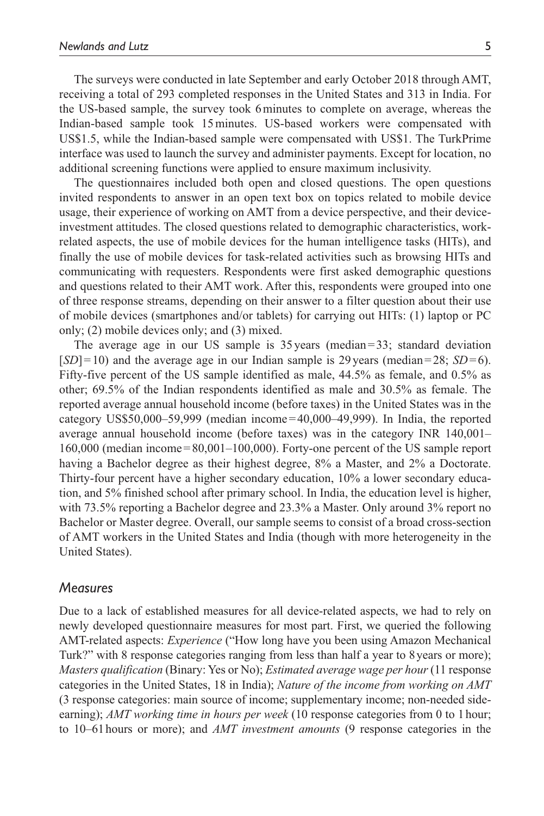The surveys were conducted in late September and early October 2018 through AMT, receiving a total of 293 completed responses in the United States and 313 in India. For the US-based sample, the survey took 6minutes to complete on average, whereas the Indian-based sample took 15minutes. US-based workers were compensated with US\$1.5, while the Indian-based sample were compensated with US\$1. The TurkPrime interface was used to launch the survey and administer payments. Except for location, no additional screening functions were applied to ensure maximum inclusivity.

The questionnaires included both open and closed questions. The open questions invited respondents to answer in an open text box on topics related to mobile device usage, their experience of working on AMT from a device perspective, and their deviceinvestment attitudes. The closed questions related to demographic characteristics, workrelated aspects, the use of mobile devices for the human intelligence tasks (HITs), and finally the use of mobile devices for task-related activities such as browsing HITs and communicating with requesters. Respondents were first asked demographic questions and questions related to their AMT work. After this, respondents were grouped into one of three response streams, depending on their answer to a filter question about their use of mobile devices (smartphones and/or tablets) for carrying out HITs: (1) laptop or PC only; (2) mobile devices only; and (3) mixed.

The average age in our US sample is 35 years (median=33; standard deviation  $[SD] = 10$ ) and the average age in our Indian sample is 29 years (median=28;  $SD = 6$ ). Fifty-five percent of the US sample identified as male, 44.5% as female, and 0.5% as other; 69.5% of the Indian respondents identified as male and 30.5% as female. The reported average annual household income (before taxes) in the United States was in the category US\$50,000–59,999 (median income=40,000–49,999). In India, the reported average annual household income (before taxes) was in the category INR 140,001– 160,000 (median income=80,001–100,000). Forty-one percent of the US sample report having a Bachelor degree as their highest degree, 8% a Master, and 2% a Doctorate. Thirty-four percent have a higher secondary education, 10% a lower secondary education, and 5% finished school after primary school. In India, the education level is higher, with 73.5% reporting a Bachelor degree and 23.3% a Master. Only around 3% report no Bachelor or Master degree. Overall, our sample seems to consist of a broad cross-section of AMT workers in the United States and India (though with more heterogeneity in the United States).

#### *Measures*

Due to a lack of established measures for all device-related aspects, we had to rely on newly developed questionnaire measures for most part. First, we queried the following AMT-related aspects: *Experience* ("How long have you been using Amazon Mechanical Turk?" with 8 response categories ranging from less than half a year to 8years or more); *Masters qualification* (Binary: Yes or No); *Estimated average wage per hour* (11 response categories in the United States, 18 in India); *Nature of the income from working on AMT* (3 response categories: main source of income; supplementary income; non-needed sideearning); *AMT working time in hours per week* (10 response categories from 0 to 1hour; to 10–61hours or more); and *AMT investment amounts* (9 response categories in the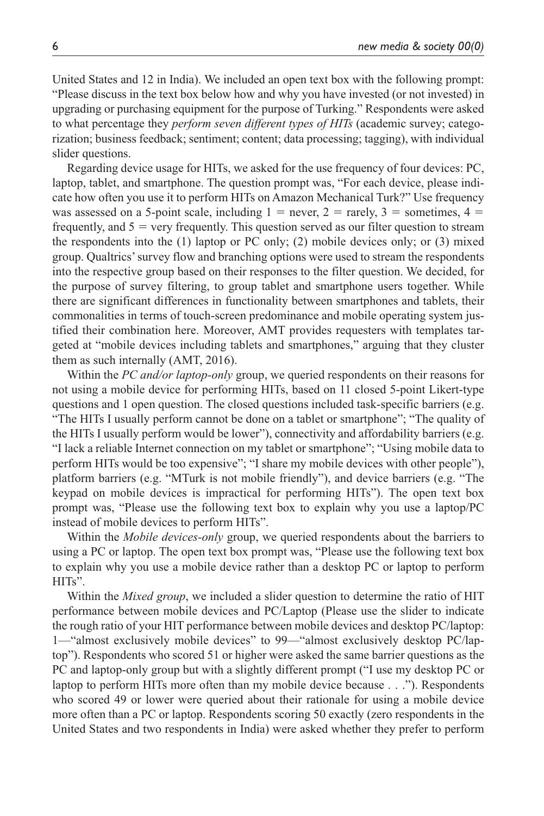United States and 12 in India). We included an open text box with the following prompt: "Please discuss in the text box below how and why you have invested (or not invested) in upgrading or purchasing equipment for the purpose of Turking." Respondents were asked to what percentage they *perform seven different types of HITs* (academic survey; categorization; business feedback; sentiment; content; data processing; tagging), with individual slider questions.

Regarding device usage for HITs, we asked for the use frequency of four devices: PC, laptop, tablet, and smartphone. The question prompt was, "For each device, please indicate how often you use it to perform HITs on Amazon Mechanical Turk?" Use frequency was assessed on a 5-point scale, including  $1 =$  never,  $2 =$  rarely,  $3 =$  sometimes,  $4 =$ frequently, and  $5 = \text{very frequently}$ . This question served as our filter question to stream the respondents into the (1) laptop or PC only; (2) mobile devices only; or (3) mixed group. Qualtrics' survey flow and branching options were used to stream the respondents into the respective group based on their responses to the filter question. We decided, for the purpose of survey filtering, to group tablet and smartphone users together. While there are significant differences in functionality between smartphones and tablets, their commonalities in terms of touch-screen predominance and mobile operating system justified their combination here. Moreover, AMT provides requesters with templates targeted at "mobile devices including tablets and smartphones," arguing that they cluster them as such internally (AMT, 2016).

Within the *PC and/or laptop-only* group, we queried respondents on their reasons for not using a mobile device for performing HITs, based on 11 closed 5-point Likert-type questions and 1 open question. The closed questions included task-specific barriers (e.g. "The HITs I usually perform cannot be done on a tablet or smartphone"; "The quality of the HITs I usually perform would be lower"), connectivity and affordability barriers (e.g. "I lack a reliable Internet connection on my tablet or smartphone"; "Using mobile data to perform HITs would be too expensive"; "I share my mobile devices with other people"), platform barriers (e.g. "MTurk is not mobile friendly"), and device barriers (e.g. "The keypad on mobile devices is impractical for performing HITs"). The open text box prompt was, "Please use the following text box to explain why you use a laptop/PC instead of mobile devices to perform HITs".

Within the *Mobile devices-only* group, we queried respondents about the barriers to using a PC or laptop. The open text box prompt was, "Please use the following text box to explain why you use a mobile device rather than a desktop PC or laptop to perform HITs".

Within the *Mixed group*, we included a slider question to determine the ratio of HIT performance between mobile devices and PC/Laptop (Please use the slider to indicate the rough ratio of your HIT performance between mobile devices and desktop PC/laptop: 1—"almost exclusively mobile devices" to 99—"almost exclusively desktop PC/laptop"). Respondents who scored 51 or higher were asked the same barrier questions as the PC and laptop-only group but with a slightly different prompt ("I use my desktop PC or laptop to perform HITs more often than my mobile device because . . ."). Respondents who scored 49 or lower were queried about their rationale for using a mobile device more often than a PC or laptop. Respondents scoring 50 exactly (zero respondents in the United States and two respondents in India) were asked whether they prefer to perform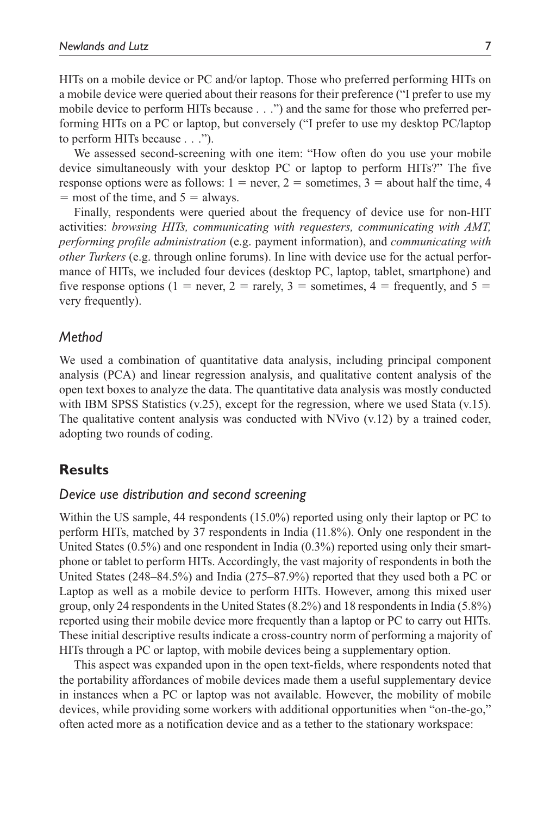HITs on a mobile device or PC and/or laptop. Those who preferred performing HITs on a mobile device were queried about their reasons for their preference ("I prefer to use my mobile device to perform HITs because . . .") and the same for those who preferred performing HITs on a PC or laptop, but conversely ("I prefer to use my desktop PC/laptop to perform HITs because . . .").

We assessed second-screening with one item: "How often do you use your mobile device simultaneously with your desktop PC or laptop to perform HITs?" The five response options were as follows:  $1 =$  never,  $2 =$  sometimes,  $3 =$  about half the time, 4  $=$  most of the time, and  $5 =$  always.

Finally, respondents were queried about the frequency of device use for non-HIT activities: *browsing HITs, communicating with requesters, communicating with AMT, performing profile administration* (e.g. payment information), and *communicating with other Turkers* (e.g. through online forums). In line with device use for the actual performance of HITs, we included four devices (desktop PC, laptop, tablet, smartphone) and five response options (1 = never, 2 = rarely, 3 = sometimes, 4 = frequently, and 5 = very frequently).

## *Method*

We used a combination of quantitative data analysis, including principal component analysis (PCA) and linear regression analysis, and qualitative content analysis of the open text boxes to analyze the data. The quantitative data analysis was mostly conducted with IBM SPSS Statistics  $(v.25)$ , except for the regression, where we used Stata  $(v.15)$ . The qualitative content analysis was conducted with NVivo  $(v.12)$  by a trained coder, adopting two rounds of coding.

# **Results**

#### *Device use distribution and second screening*

Within the US sample, 44 respondents (15.0%) reported using only their laptop or PC to perform HITs, matched by 37 respondents in India (11.8%). Only one respondent in the United States (0.5%) and one respondent in India (0.3%) reported using only their smartphone or tablet to perform HITs. Accordingly, the vast majority of respondents in both the United States (248–84.5%) and India (275–87.9%) reported that they used both a PC or Laptop as well as a mobile device to perform HITs. However, among this mixed user group, only 24 respondents in the United States (8.2%) and 18 respondents in India (5.8%) reported using their mobile device more frequently than a laptop or PC to carry out HITs. These initial descriptive results indicate a cross-country norm of performing a majority of HITs through a PC or laptop, with mobile devices being a supplementary option.

This aspect was expanded upon in the open text-fields, where respondents noted that the portability affordances of mobile devices made them a useful supplementary device in instances when a PC or laptop was not available. However, the mobility of mobile devices, while providing some workers with additional opportunities when "on-the-go," often acted more as a notification device and as a tether to the stationary workspace: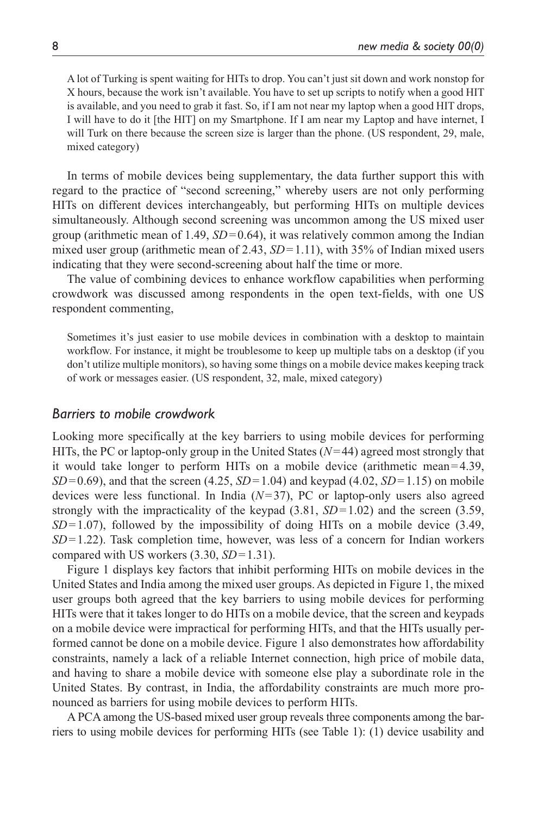A lot of Turking is spent waiting for HITs to drop. You can't just sit down and work nonstop for X hours, because the work isn't available. You have to set up scripts to notify when a good HIT is available, and you need to grab it fast. So, if I am not near my laptop when a good HIT drops, I will have to do it [the HIT] on my Smartphone. If I am near my Laptop and have internet, I will Turk on there because the screen size is larger than the phone. (US respondent, 29, male, mixed category)

In terms of mobile devices being supplementary, the data further support this with regard to the practice of "second screening," whereby users are not only performing HITs on different devices interchangeably, but performing HITs on multiple devices simultaneously. Although second screening was uncommon among the US mixed user group (arithmetic mean of  $1.49$ ,  $SD = 0.64$ ), it was relatively common among the Indian mixed user group (arithmetic mean of 2.43,  $SD = 1.11$ ), with 35% of Indian mixed users indicating that they were second-screening about half the time or more.

The value of combining devices to enhance workflow capabilities when performing crowdwork was discussed among respondents in the open text-fields, with one US respondent commenting,

Sometimes it's just easier to use mobile devices in combination with a desktop to maintain workflow. For instance, it might be troublesome to keep up multiple tabs on a desktop (if you don't utilize multiple monitors), so having some things on a mobile device makes keeping track of work or messages easier. (US respondent, 32, male, mixed category)

## *Barriers to mobile crowdwork*

Looking more specifically at the key barriers to using mobile devices for performing HITs, the PC or laptop-only group in the United States (*N*=44) agreed most strongly that it would take longer to perform HITs on a mobile device (arithmetic mean=4.39, *SD*=0.69), and that the screen (4.25, *SD*=1.04) and keypad (4.02, *SD*=1.15) on mobile devices were less functional. In India (*N*=37), PC or laptop-only users also agreed strongly with the impracticality of the keypad  $(3.81, SD = 1.02)$  and the screen  $(3.59,$  $SD=1.07$ ), followed by the impossibility of doing HITs on a mobile device  $(3.49, 1.07)$ *SD*=1.22). Task completion time, however, was less of a concern for Indian workers compared with US workers (3.30, *SD*=1.31).

Figure 1 displays key factors that inhibit performing HITs on mobile devices in the United States and India among the mixed user groups. As depicted in Figure 1, the mixed user groups both agreed that the key barriers to using mobile devices for performing HITs were that it takes longer to do HITs on a mobile device, that the screen and keypads on a mobile device were impractical for performing HITs, and that the HITs usually performed cannot be done on a mobile device. Figure 1 also demonstrates how affordability constraints, namely a lack of a reliable Internet connection, high price of mobile data, and having to share a mobile device with someone else play a subordinate role in the United States. By contrast, in India, the affordability constraints are much more pronounced as barriers for using mobile devices to perform HITs.

A PCA among the US-based mixed user group reveals three components among the barriers to using mobile devices for performing HITs (see Table 1): (1) device usability and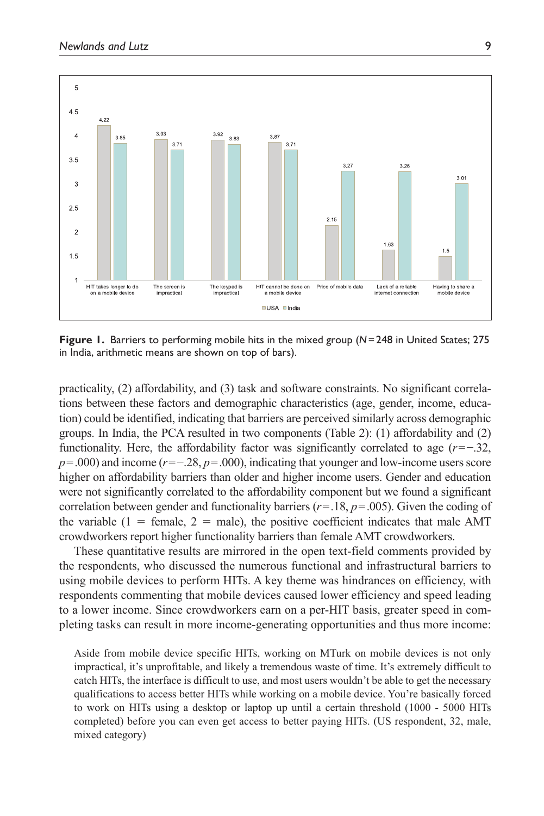

**Figure 1.** Barriers to performing mobile hits in the mixed group (*N*=248 in United States; 275 in India, arithmetic means are shown on top of bars).

practicality, (2) affordability, and (3) task and software constraints. No significant correlations between these factors and demographic characteristics (age, gender, income, education) could be identified, indicating that barriers are perceived similarly across demographic groups. In India, the PCA resulted in two components (Table 2): (1) affordability and (2) functionality. Here, the affordability factor was significantly correlated to age (*r*=−.32, *p*=.000) and income (*r*=−.28, *p*=.000), indicating that younger and low-income users score higher on affordability barriers than older and higher income users. Gender and education were not significantly correlated to the affordability component but we found a significant correlation between gender and functionality barriers (*r*=.18, *p*=.005). Given the coding of the variable  $(1 = \text{female}, 2 = \text{male})$ , the positive coefficient indicates that male AMT crowdworkers report higher functionality barriers than female AMT crowdworkers.

These quantitative results are mirrored in the open text-field comments provided by the respondents, who discussed the numerous functional and infrastructural barriers to using mobile devices to perform HITs. A key theme was hindrances on efficiency, with respondents commenting that mobile devices caused lower efficiency and speed leading to a lower income. Since crowdworkers earn on a per-HIT basis, greater speed in completing tasks can result in more income-generating opportunities and thus more income:

Aside from mobile device specific HITs, working on MTurk on mobile devices is not only impractical, it's unprofitable, and likely a tremendous waste of time. It's extremely difficult to catch HITs, the interface is difficult to use, and most users wouldn't be able to get the necessary qualifications to access better HITs while working on a mobile device. You're basically forced to work on HITs using a desktop or laptop up until a certain threshold (1000 - 5000 HITs completed) before you can even get access to better paying HITs. (US respondent, 32, male, mixed category)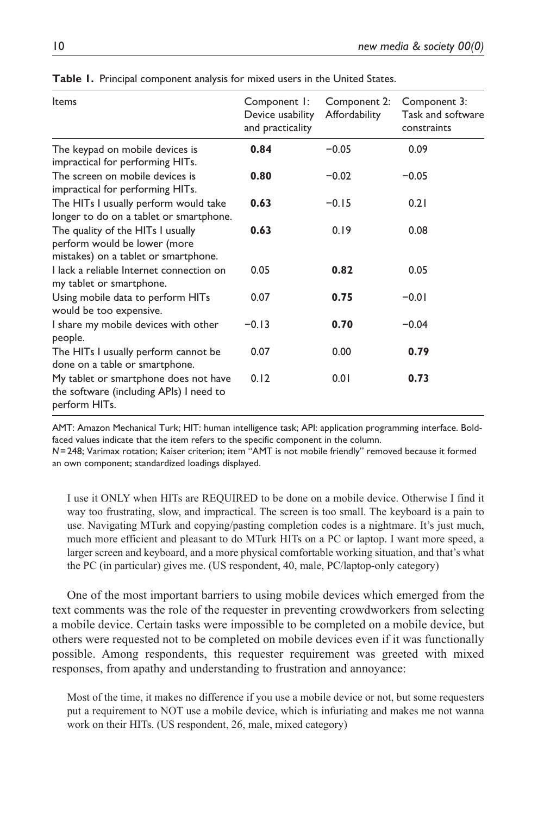| Items                                                                                                     | Component I:<br>Device usability<br>and practicality | Component 2:<br>Affordability | Component 3:<br>Task and software<br>constraints |
|-----------------------------------------------------------------------------------------------------------|------------------------------------------------------|-------------------------------|--------------------------------------------------|
| The keypad on mobile devices is<br>impractical for performing HITs.                                       | 0.84                                                 | $-0.05$                       | 0.09                                             |
| The screen on mobile devices is<br>impractical for performing HITs.                                       | 0.80                                                 | $-0.02$                       | $-0.05$                                          |
| The HITs I usually perform would take<br>longer to do on a tablet or smartphone.                          | 0.63                                                 | $-0.15$                       | 0.21                                             |
| The quality of the HITs I usually<br>perform would be lower (more<br>mistakes) on a tablet or smartphone. | 0.63                                                 | 0.19                          | 0.08                                             |
| Llack a reliable Internet connection on<br>my tablet or smartphone.                                       | 0.05                                                 | 0.82                          | 0.05                                             |
| Using mobile data to perform HITs<br>would be too expensive.                                              | 0.07                                                 | 0.75                          | $-0.01$                                          |
| I share my mobile devices with other<br>people.                                                           | $-0.13$                                              | 0.70                          | $-0.04$                                          |
| The HITs I usually perform cannot be<br>done on a table or smartphone.                                    | 0.07                                                 | 0.00                          | 0.79                                             |
| My tablet or smartphone does not have<br>the software (including APIs) I need to<br>perform HITs.         | 0.12                                                 | 0.01                          | 0.73                                             |

**Table 1.** Principal component analysis for mixed users in the United States.

AMT: Amazon Mechanical Turk; HIT: human intelligence task; API: application programming interface. Boldfaced values indicate that the item refers to the specific component in the column.

*N*=248; Varimax rotation; Kaiser criterion; item "AMT is not mobile friendly" removed because it formed an own component; standardized loadings displayed.

I use it ONLY when HITs are REQUIRED to be done on a mobile device. Otherwise I find it way too frustrating, slow, and impractical. The screen is too small. The keyboard is a pain to use. Navigating MTurk and copying/pasting completion codes is a nightmare. It's just much, much more efficient and pleasant to do MTurk HITs on a PC or laptop. I want more speed, a larger screen and keyboard, and a more physical comfortable working situation, and that's what the PC (in particular) gives me. (US respondent, 40, male, PC/laptop-only category)

One of the most important barriers to using mobile devices which emerged from the text comments was the role of the requester in preventing crowdworkers from selecting a mobile device. Certain tasks were impossible to be completed on a mobile device, but others were requested not to be completed on mobile devices even if it was functionally possible. Among respondents, this requester requirement was greeted with mixed responses, from apathy and understanding to frustration and annoyance:

Most of the time, it makes no difference if you use a mobile device or not, but some requesters put a requirement to NOT use a mobile device, which is infuriating and makes me not wanna work on their HITs. (US respondent, 26, male, mixed category)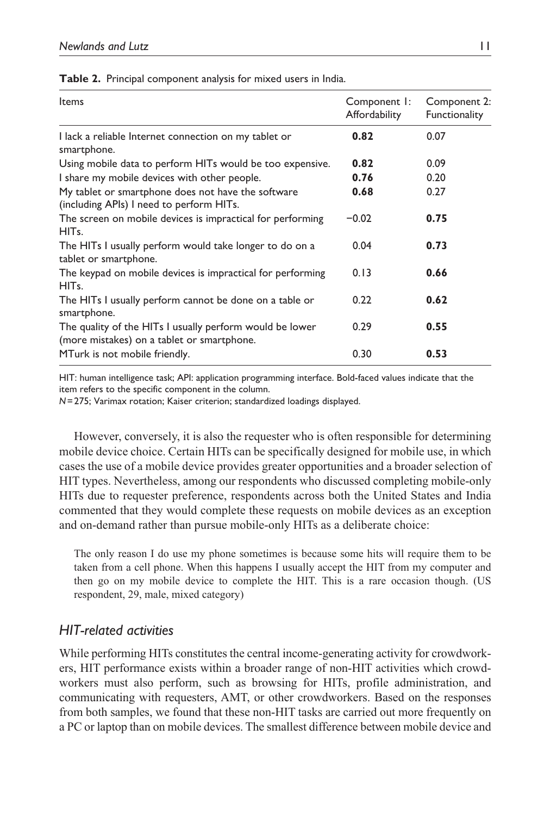| Items                                                                                                  | Component I:<br>Affordability | Component 2:<br>Functionality |
|--------------------------------------------------------------------------------------------------------|-------------------------------|-------------------------------|
| I lack a reliable Internet connection on my tablet or<br>smartphone.                                   | 0.82                          | 0.07                          |
| Using mobile data to perform HITs would be too expensive.                                              | 0.82                          | 0.09                          |
| I share my mobile devices with other people.                                                           | 0.76                          | 0.20                          |
| My tablet or smartphone does not have the software<br>(including APIs) I need to perform HITs.         | 0.68                          | 0.27                          |
| The screen on mobile devices is impractical for performing<br>HIT <sub>s</sub> .                       | $-0.02$                       | 0.75                          |
| The HITs I usually perform would take longer to do on a<br>tablet or smartphone.                       | 0.04                          | 0.73                          |
| The keypad on mobile devices is impractical for performing<br>HIT <sub>s</sub> .                       | 0.13                          | 0.66                          |
| The HITs I usually perform cannot be done on a table or<br>smartphone.                                 | 0.22                          | 0.62                          |
| The quality of the HITs I usually perform would be lower<br>(more mistakes) on a tablet or smartphone. | 0.29                          | 0.55                          |
| MTurk is not mobile friendly.                                                                          | 0.30                          | 0.53                          |

HIT: human intelligence task; API: application programming interface. Bold-faced values indicate that the item refers to the specific component in the column.

*N*=275; Varimax rotation; Kaiser criterion; standardized loadings displayed.

However, conversely, it is also the requester who is often responsible for determining mobile device choice. Certain HITs can be specifically designed for mobile use, in which cases the use of a mobile device provides greater opportunities and a broader selection of HIT types. Nevertheless, among our respondents who discussed completing mobile-only HITs due to requester preference, respondents across both the United States and India commented that they would complete these requests on mobile devices as an exception and on-demand rather than pursue mobile-only HITs as a deliberate choice:

The only reason I do use my phone sometimes is because some hits will require them to be taken from a cell phone. When this happens I usually accept the HIT from my computer and then go on my mobile device to complete the HIT. This is a rare occasion though. (US respondent, 29, male, mixed category)

# *HIT-related activities*

While performing HITs constitutes the central income-generating activity for crowdworkers, HIT performance exists within a broader range of non-HIT activities which crowdworkers must also perform, such as browsing for HITs, profile administration, and communicating with requesters, AMT, or other crowdworkers. Based on the responses from both samples, we found that these non-HIT tasks are carried out more frequently on a PC or laptop than on mobile devices. The smallest difference between mobile device and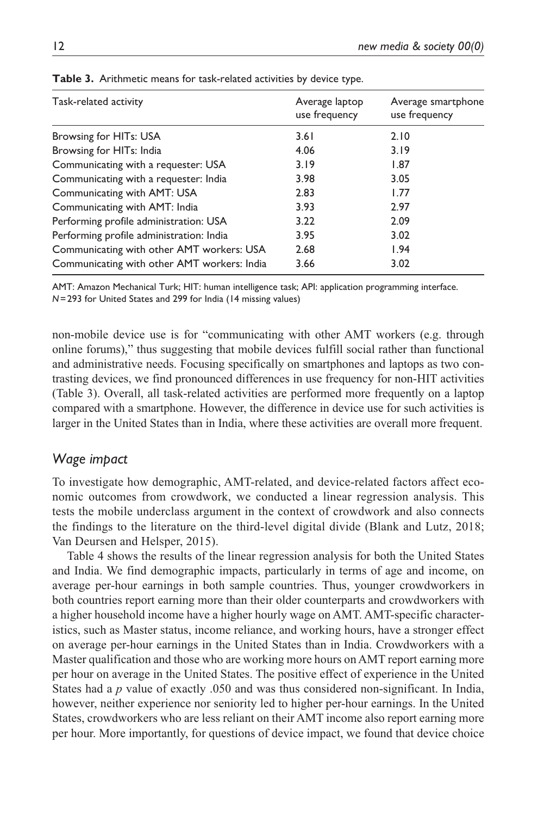| Task-related activity                       | Average laptop<br>use frequency | Average smartphone<br>use frequency |
|---------------------------------------------|---------------------------------|-------------------------------------|
| Browsing for HITs: USA                      | 3.61                            | 2.10                                |
| Browsing for HITs: India                    | 4.06                            | 3.19                                |
| Communicating with a requester: USA         | 3.19                            | 1.87                                |
| Communicating with a requester: India       | 3.98                            | 3.05                                |
| Communicating with AMT: USA                 | 2.83                            | 1.77                                |
| Communicating with AMT: India               | 3.93                            | 2.97                                |
| Performing profile administration: USA      | 3.22                            | 2.09                                |
| Performing profile administration: India    | 3.95                            | 3.02                                |
| Communicating with other AMT workers: USA   | 2.68                            | 1.94                                |
| Communicating with other AMT workers: India | 3.66                            | 3.02                                |

**Table 3.** Arithmetic means for task-related activities by device type.

AMT: Amazon Mechanical Turk; HIT: human intelligence task; API: application programming interface. *N*=293 for United States and 299 for India (14 missing values)

non-mobile device use is for "communicating with other AMT workers (e.g. through online forums)," thus suggesting that mobile devices fulfill social rather than functional and administrative needs. Focusing specifically on smartphones and laptops as two contrasting devices, we find pronounced differences in use frequency for non-HIT activities (Table 3). Overall, all task-related activities are performed more frequently on a laptop compared with a smartphone. However, the difference in device use for such activities is larger in the United States than in India, where these activities are overall more frequent.

## *Wage impact*

To investigate how demographic, AMT-related, and device-related factors affect economic outcomes from crowdwork, we conducted a linear regression analysis. This tests the mobile underclass argument in the context of crowdwork and also connects the findings to the literature on the third-level digital divide (Blank and Lutz, 2018; Van Deursen and Helsper, 2015).

Table 4 shows the results of the linear regression analysis for both the United States and India. We find demographic impacts, particularly in terms of age and income, on average per-hour earnings in both sample countries. Thus, younger crowdworkers in both countries report earning more than their older counterparts and crowdworkers with a higher household income have a higher hourly wage on AMT. AMT-specific characteristics, such as Master status, income reliance, and working hours, have a stronger effect on average per-hour earnings in the United States than in India. Crowdworkers with a Master qualification and those who are working more hours on AMT report earning more per hour on average in the United States. The positive effect of experience in the United States had a *p* value of exactly .050 and was thus considered non-significant. In India, however, neither experience nor seniority led to higher per-hour earnings. In the United States, crowdworkers who are less reliant on their AMT income also report earning more per hour. More importantly, for questions of device impact, we found that device choice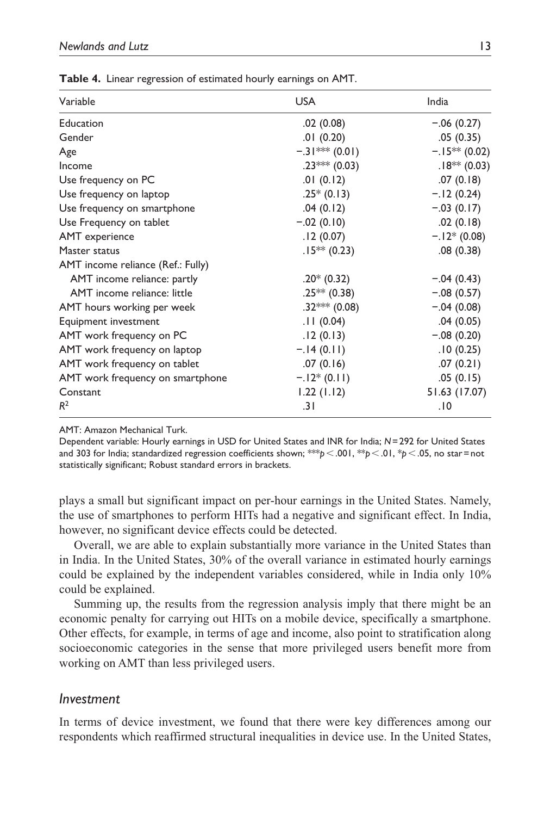| Variable                          | <b>USA</b>       | India            |
|-----------------------------------|------------------|------------------|
| Education                         | .02(0.08)        | $-.06(0.27)$     |
| Gender                            | .01(0.20)        | .05(0.35)        |
| Age                               | $-.31*** (0.01)$ | $-.15***$ (0.02) |
| Income                            | $.23***$ (0.03)  | $.18** (0.03)$   |
| Use frequency on PC               | .01(0.12)        | .07(0.18)        |
| Use frequency on laptop           | $.25*(0.13)$     | $-.12(0.24)$     |
| Use frequency on smartphone       | .04(0.12)        | $-.03(0.17)$     |
| Use Frequency on tablet           | $-.02(0.10)$     | .02(0.18)        |
| AMT experience                    | .12(0.07)        | $-.12*(0.08)$    |
| Master status                     | $.15*** (0.23)$  | .08(0.38)        |
| AMT income reliance (Ref.: Fully) |                  |                  |
| AMT income reliance: partly       | $.20*(0.32)$     | $-.04(0.43)$     |
| AMT income reliance: little       | $.25***$ (0.38)  | $-.08(0.57)$     |
| AMT hours working per week        | $.32***$ (0.08)  | $-.04(0.08)$     |
| Equipment investment              | .11(0.04)        | .04(0.05)        |
| AMT work frequency on PC          | .12(0.13)        | $-.08(0.20)$     |
| AMT work frequency on laptop      | $-.14(0.11)$     | .10(0.25)        |
| AMT work frequency on tablet      | .07(0.16)        | .07(0.21)        |
| AMT work frequency on smartphone  | $-.12*(0.11)$    | .05(0.15)        |
| Constant                          | 1.22(1.12)       | 51.63 (17.07)    |
| R <sup>2</sup>                    | .31              | .10              |

**Table 4.** Linear regression of estimated hourly earnings on AMT.

AMT: Amazon Mechanical Turk.

Dependent variable: Hourly earnings in USD for United States and INR for India; *N*=292 for United States and 303 for India; standardized regression coefficients shown; \*\*\**p*<.001, \*\**p*<.01, \**p*<.05, no star=not statistically significant; Robust standard errors in brackets.

plays a small but significant impact on per-hour earnings in the United States. Namely, the use of smartphones to perform HITs had a negative and significant effect. In India, however, no significant device effects could be detected.

Overall, we are able to explain substantially more variance in the United States than in India. In the United States, 30% of the overall variance in estimated hourly earnings could be explained by the independent variables considered, while in India only 10% could be explained.

Summing up, the results from the regression analysis imply that there might be an economic penalty for carrying out HITs on a mobile device, specifically a smartphone. Other effects, for example, in terms of age and income, also point to stratification along socioeconomic categories in the sense that more privileged users benefit more from working on AMT than less privileged users.

## *Investment*

In terms of device investment, we found that there were key differences among our respondents which reaffirmed structural inequalities in device use. In the United States,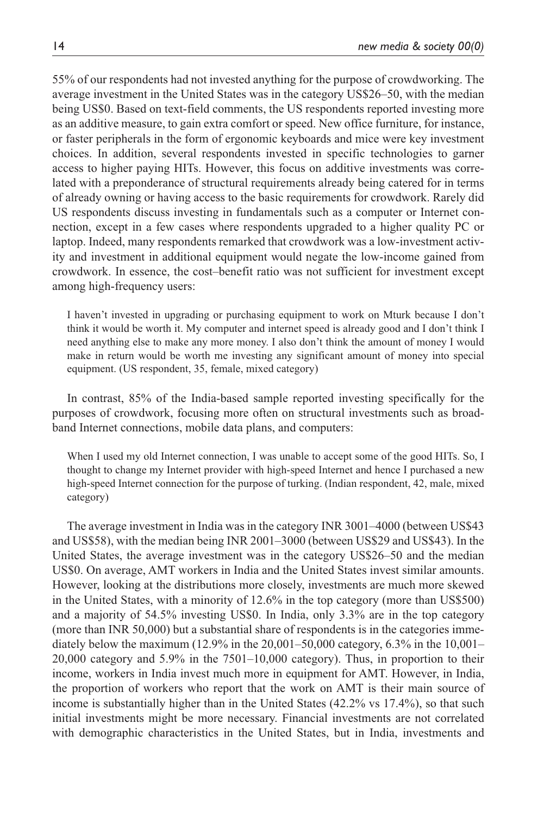55% of our respondents had not invested anything for the purpose of crowdworking. The average investment in the United States was in the category US\$26–50, with the median being US\$0. Based on text-field comments, the US respondents reported investing more as an additive measure, to gain extra comfort or speed. New office furniture, for instance, or faster peripherals in the form of ergonomic keyboards and mice were key investment choices. In addition, several respondents invested in specific technologies to garner access to higher paying HITs. However, this focus on additive investments was correlated with a preponderance of structural requirements already being catered for in terms of already owning or having access to the basic requirements for crowdwork. Rarely did US respondents discuss investing in fundamentals such as a computer or Internet connection, except in a few cases where respondents upgraded to a higher quality PC or laptop. Indeed, many respondents remarked that crowdwork was a low-investment activity and investment in additional equipment would negate the low-income gained from crowdwork. In essence, the cost–benefit ratio was not sufficient for investment except among high-frequency users:

I haven't invested in upgrading or purchasing equipment to work on Mturk because I don't think it would be worth it. My computer and internet speed is already good and I don't think I need anything else to make any more money. I also don't think the amount of money I would make in return would be worth me investing any significant amount of money into special equipment. (US respondent, 35, female, mixed category)

In contrast, 85% of the India-based sample reported investing specifically for the purposes of crowdwork, focusing more often on structural investments such as broadband Internet connections, mobile data plans, and computers:

When I used my old Internet connection, I was unable to accept some of the good HITs. So, I thought to change my Internet provider with high-speed Internet and hence I purchased a new high-speed Internet connection for the purpose of turking. (Indian respondent, 42, male, mixed category)

The average investment in India was in the category INR 3001–4000 (between US\$43 and US\$58), with the median being INR 2001–3000 (between US\$29 and US\$43). In the United States, the average investment was in the category US\$26–50 and the median US\$0. On average, AMT workers in India and the United States invest similar amounts. However, looking at the distributions more closely, investments are much more skewed in the United States, with a minority of 12.6% in the top category (more than US\$500) and a majority of 54.5% investing US\$0. In India, only 3.3% are in the top category (more than INR 50,000) but a substantial share of respondents is in the categories immediately below the maximum  $(12.9\%$  in the  $20,001-50,000$  category,  $6.3\%$  in the  $10,001-$ 20,000 category and 5.9% in the 7501–10,000 category). Thus, in proportion to their income, workers in India invest much more in equipment for AMT. However, in India, the proportion of workers who report that the work on AMT is their main source of income is substantially higher than in the United States (42.2% vs 17.4%), so that such initial investments might be more necessary. Financial investments are not correlated with demographic characteristics in the United States, but in India, investments and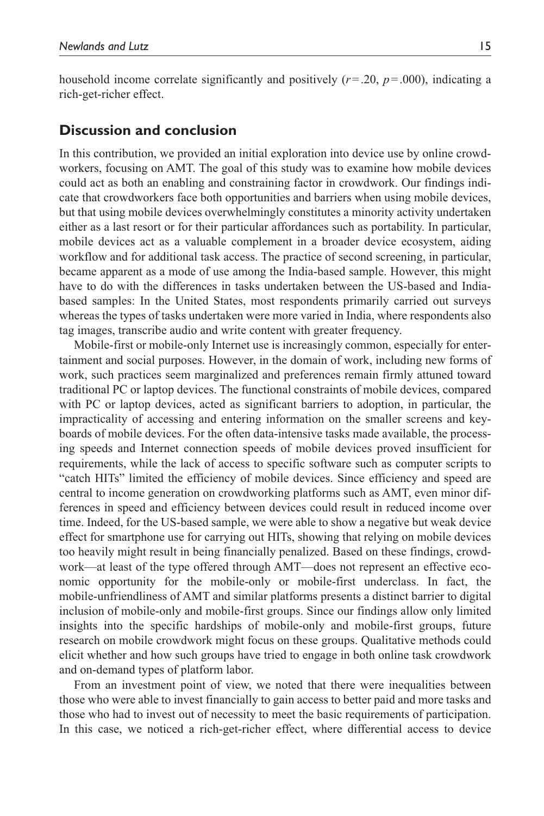household income correlate significantly and positively  $(r=.20, p=.000)$ , indicating a rich-get-richer effect.

## **Discussion and conclusion**

In this contribution, we provided an initial exploration into device use by online crowdworkers, focusing on AMT. The goal of this study was to examine how mobile devices could act as both an enabling and constraining factor in crowdwork. Our findings indicate that crowdworkers face both opportunities and barriers when using mobile devices, but that using mobile devices overwhelmingly constitutes a minority activity undertaken either as a last resort or for their particular affordances such as portability. In particular, mobile devices act as a valuable complement in a broader device ecosystem, aiding workflow and for additional task access. The practice of second screening, in particular, became apparent as a mode of use among the India-based sample. However, this might have to do with the differences in tasks undertaken between the US-based and Indiabased samples: In the United States, most respondents primarily carried out surveys whereas the types of tasks undertaken were more varied in India, where respondents also tag images, transcribe audio and write content with greater frequency.

Mobile-first or mobile-only Internet use is increasingly common, especially for entertainment and social purposes. However, in the domain of work, including new forms of work, such practices seem marginalized and preferences remain firmly attuned toward traditional PC or laptop devices. The functional constraints of mobile devices, compared with PC or laptop devices, acted as significant barriers to adoption, in particular, the impracticality of accessing and entering information on the smaller screens and keyboards of mobile devices. For the often data-intensive tasks made available, the processing speeds and Internet connection speeds of mobile devices proved insufficient for requirements, while the lack of access to specific software such as computer scripts to "catch HITs" limited the efficiency of mobile devices. Since efficiency and speed are central to income generation on crowdworking platforms such as AMT, even minor differences in speed and efficiency between devices could result in reduced income over time. Indeed, for the US-based sample, we were able to show a negative but weak device effect for smartphone use for carrying out HITs, showing that relying on mobile devices too heavily might result in being financially penalized. Based on these findings, crowdwork—at least of the type offered through AMT—does not represent an effective economic opportunity for the mobile-only or mobile-first underclass. In fact, the mobile-unfriendliness of AMT and similar platforms presents a distinct barrier to digital inclusion of mobile-only and mobile-first groups. Since our findings allow only limited insights into the specific hardships of mobile-only and mobile-first groups, future research on mobile crowdwork might focus on these groups. Qualitative methods could elicit whether and how such groups have tried to engage in both online task crowdwork and on-demand types of platform labor.

From an investment point of view, we noted that there were inequalities between those who were able to invest financially to gain access to better paid and more tasks and those who had to invest out of necessity to meet the basic requirements of participation. In this case, we noticed a rich-get-richer effect, where differential access to device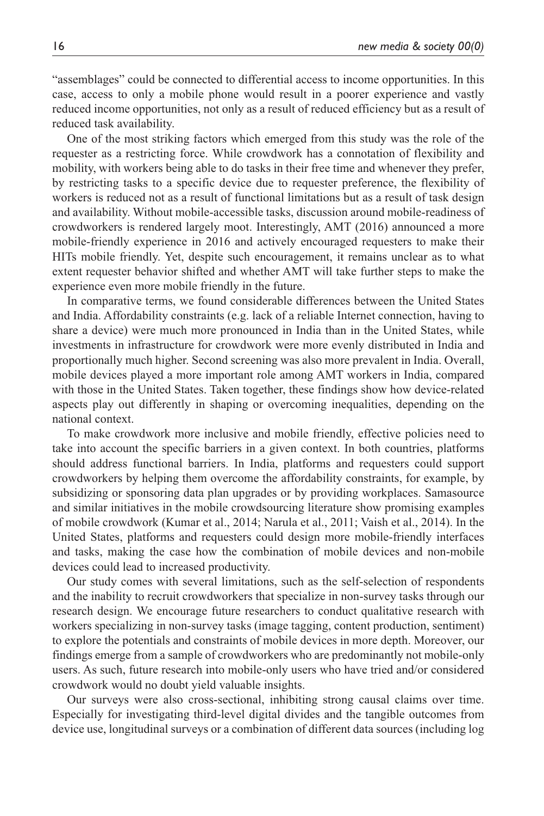"assemblages" could be connected to differential access to income opportunities. In this case, access to only a mobile phone would result in a poorer experience and vastly reduced income opportunities, not only as a result of reduced efficiency but as a result of reduced task availability.

One of the most striking factors which emerged from this study was the role of the requester as a restricting force. While crowdwork has a connotation of flexibility and mobility, with workers being able to do tasks in their free time and whenever they prefer, by restricting tasks to a specific device due to requester preference, the flexibility of workers is reduced not as a result of functional limitations but as a result of task design and availability. Without mobile-accessible tasks, discussion around mobile-readiness of crowdworkers is rendered largely moot. Interestingly, AMT (2016) announced a more mobile-friendly experience in 2016 and actively encouraged requesters to make their HITs mobile friendly. Yet, despite such encouragement, it remains unclear as to what extent requester behavior shifted and whether AMT will take further steps to make the experience even more mobile friendly in the future.

In comparative terms, we found considerable differences between the United States and India. Affordability constraints (e.g. lack of a reliable Internet connection, having to share a device) were much more pronounced in India than in the United States, while investments in infrastructure for crowdwork were more evenly distributed in India and proportionally much higher. Second screening was also more prevalent in India. Overall, mobile devices played a more important role among AMT workers in India, compared with those in the United States. Taken together, these findings show how device-related aspects play out differently in shaping or overcoming inequalities, depending on the national context.

To make crowdwork more inclusive and mobile friendly, effective policies need to take into account the specific barriers in a given context. In both countries, platforms should address functional barriers. In India, platforms and requesters could support crowdworkers by helping them overcome the affordability constraints, for example, by subsidizing or sponsoring data plan upgrades or by providing workplaces. Samasource and similar initiatives in the mobile crowdsourcing literature show promising examples of mobile crowdwork (Kumar et al., 2014; Narula et al., 2011; Vaish et al., 2014). In the United States, platforms and requesters could design more mobile-friendly interfaces and tasks, making the case how the combination of mobile devices and non-mobile devices could lead to increased productivity.

Our study comes with several limitations, such as the self-selection of respondents and the inability to recruit crowdworkers that specialize in non-survey tasks through our research design. We encourage future researchers to conduct qualitative research with workers specializing in non-survey tasks (image tagging, content production, sentiment) to explore the potentials and constraints of mobile devices in more depth. Moreover, our findings emerge from a sample of crowdworkers who are predominantly not mobile-only users. As such, future research into mobile-only users who have tried and/or considered crowdwork would no doubt yield valuable insights.

Our surveys were also cross-sectional, inhibiting strong causal claims over time. Especially for investigating third-level digital divides and the tangible outcomes from device use, longitudinal surveys or a combination of different data sources (including log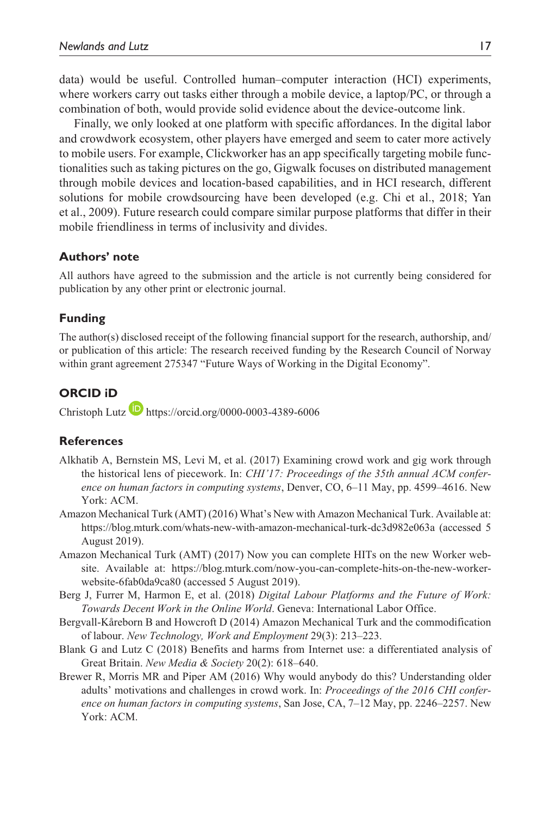data) would be useful. Controlled human–computer interaction (HCI) experiments, where workers carry out tasks either through a mobile device, a laptop/PC, or through a combination of both, would provide solid evidence about the device-outcome link.

Finally, we only looked at one platform with specific affordances. In the digital labor and crowdwork ecosystem, other players have emerged and seem to cater more actively to mobile users. For example, Clickworker has an app specifically targeting mobile functionalities such as taking pictures on the go, Gigwalk focuses on distributed management through mobile devices and location-based capabilities, and in HCI research, different solutions for mobile crowdsourcing have been developed (e.g. Chi et al., 2018; Yan et al., 2009). Future research could compare similar purpose platforms that differ in their mobile friendliness in terms of inclusivity and divides.

#### **Authors' note**

All authors have agreed to the submission and the article is not currently being considered for publication by any other print or electronic journal.

#### **Funding**

The author(s) disclosed receipt of the following financial support for the research, authorship, and/ or publication of this article: The research received funding by the Research Council of Norway within grant agreement 275347 "Future Ways of Working in the Digital Economy".

## **ORCID iD**

Christoph Lutz **<https://orcid.org/0000-0003-4389-6006>** 

#### **References**

- Alkhatib A, Bernstein MS, Levi M, et al. (2017) Examining crowd work and gig work through the historical lens of piecework. In: *CHI'17: Proceedings of the 35th annual ACM conference on human factors in computing systems*, Denver, CO, 6–11 May, pp. 4599–4616. New York: ACM.
- Amazon Mechanical Turk (AMT) (2016) What's New with Amazon Mechanical Turk. Available at: <https://blog.mturk.com/whats-new-with-amazon-mechanical-turk-dc3d982e063a>(accessed 5 August 2019).
- Amazon Mechanical Turk (AMT) (2017) Now you can complete HITs on the new Worker website. Available at: [https://blog.mturk.com/now-you-can-complete-hits-on-the-new-worker](https://blog.mturk.com/now-you-can-complete-hits-on-the-new-worker-website-6fab0da9ca80)[website-6fab0da9ca80](https://blog.mturk.com/now-you-can-complete-hits-on-the-new-worker-website-6fab0da9ca80) (accessed 5 August 2019).
- Berg J, Furrer M, Harmon E, et al. (2018) *Digital Labour Platforms and the Future of Work: Towards Decent Work in the Online World*. Geneva: International Labor Office.
- Bergvall-Kåreborn B and Howcroft D (2014) Amazon Mechanical Turk and the commodification of labour. *New Technology, Work and Employment* 29(3): 213–223.
- Blank G and Lutz C (2018) Benefits and harms from Internet use: a differentiated analysis of Great Britain. *New Media & Society* 20(2): 618–640.
- Brewer R, Morris MR and Piper AM (2016) Why would anybody do this? Understanding older adults' motivations and challenges in crowd work. In: *Proceedings of the 2016 CHI conference on human factors in computing systems*, San Jose, CA, 7–12 May, pp. 2246–2257. New York: ACM.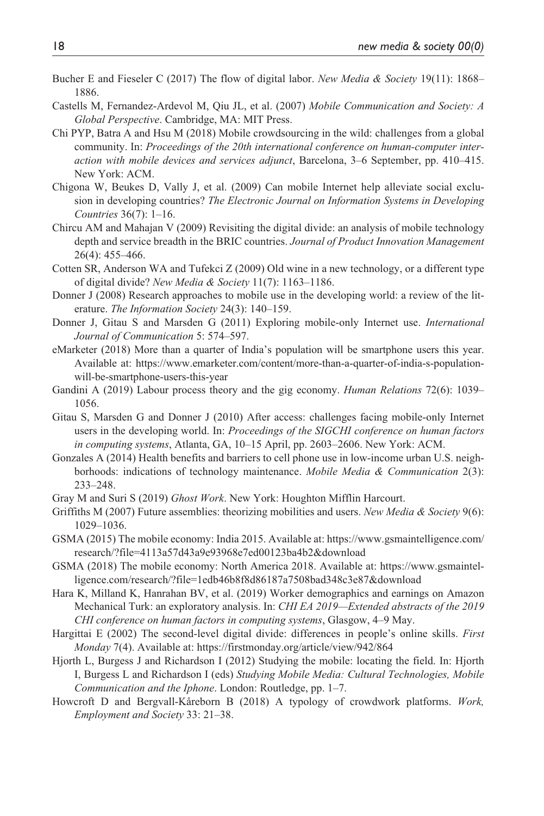- Bucher E and Fieseler C (2017) The flow of digital labor. *New Media & Society* 19(11): 1868– 1886.
- Castells M, Fernandez-Ardevol M, Qiu JL, et al. (2007) *Mobile Communication and Society: A Global Perspective*. Cambridge, MA: MIT Press.
- Chi PYP, Batra A and Hsu M (2018) Mobile crowdsourcing in the wild: challenges from a global community. In: *Proceedings of the 20th international conference on human-computer interaction with mobile devices and services adjunct*, Barcelona, 3–6 September, pp. 410–415. New York: ACM.
- Chigona W, Beukes D, Vally J, et al. (2009) Can mobile Internet help alleviate social exclusion in developing countries? *The Electronic Journal on Information Systems in Developing Countries* 36(7): 1–16.
- Chircu AM and Mahajan V (2009) Revisiting the digital divide: an analysis of mobile technology depth and service breadth in the BRIC countries. *Journal of Product Innovation Management* 26(4): 455–466.
- Cotten SR, Anderson WA and Tufekci Z (2009) Old wine in a new technology, or a different type of digital divide? *New Media & Society* 11(7): 1163–1186.
- Donner J (2008) Research approaches to mobile use in the developing world: a review of the literature. *The Information Society* 24(3): 140–159.
- Donner J, Gitau S and Marsden G (2011) Exploring mobile-only Internet use. *International Journal of Communication* 5: 574–597.
- eMarketer (2018) More than a quarter of India's population will be smartphone users this year. Available at: [https://www.emarketer.com/content/more-than-a-quarter-of-india-s-population](https://www.emarketer.com/content/more-than-a-quarter-of-india-s-population-will-be-smartphone-users-this-year)[will-be-smartphone-users-this-year](https://www.emarketer.com/content/more-than-a-quarter-of-india-s-population-will-be-smartphone-users-this-year)
- Gandini A (2019) Labour process theory and the gig economy. *Human Relations* 72(6): 1039– 1056.
- Gitau S, Marsden G and Donner J (2010) After access: challenges facing mobile-only Internet users in the developing world. In: *Proceedings of the SIGCHI conference on human factors in computing systems*, Atlanta, GA, 10–15 April, pp. 2603–2606. New York: ACM.
- Gonzales A (2014) Health benefits and barriers to cell phone use in low-income urban U.S. neighborhoods: indications of technology maintenance. *Mobile Media & Communication* 2(3): 233–248.
- Gray M and Suri S (2019) *Ghost Work*. New York: Houghton Mifflin Harcourt.
- Griffiths M (2007) Future assemblies: theorizing mobilities and users. *New Media & Society* 9(6): 1029–1036.
- GSMA (2015) The mobile economy: India 2015. Available at: [https://www.gsmaintelligence.com/](https://www.gsmaintelligence.com/research/?file=4113a57d43a9e93968e7ed00123ba4b2&download) [research/?file=4113a57d43a9e93968e7ed00123ba4b2&download](https://www.gsmaintelligence.com/research/?file=4113a57d43a9e93968e7ed00123ba4b2&download)
- GSMA (2018) The mobile economy: North America 2018. Available at: [https://www.gsmaintel](https://www.gsmaintelligence.com/research/?file=1edb46b8f8d86187a7508bad348c3e87&download)[ligence.com/research/?file=1edb46b8f8d86187a7508bad348c3e87&download](https://www.gsmaintelligence.com/research/?file=1edb46b8f8d86187a7508bad348c3e87&download)
- Hara K, Milland K, Hanrahan BV, et al. (2019) Worker demographics and earnings on Amazon Mechanical Turk: an exploratory analysis. In: *CHI EA 2019—Extended abstracts of the 2019 CHI conference on human factors in computing systems*, Glasgow, 4–9 May.
- Hargittai E (2002) The second-level digital divide: differences in people's online skills. *First Monday* 7(4). Available at:<https://firstmonday.org/article/view/942/864>
- Hjorth L, Burgess J and Richardson I (2012) Studying the mobile: locating the field. In: Hjorth I, Burgess L and Richardson I (eds) *Studying Mobile Media: Cultural Technologies, Mobile Communication and the Iphone*. London: Routledge, pp. 1–7.
- Howcroft D and Bergvall-Kåreborn B (2018) A typology of crowdwork platforms. *Work, Employment and Society* 33: 21–38.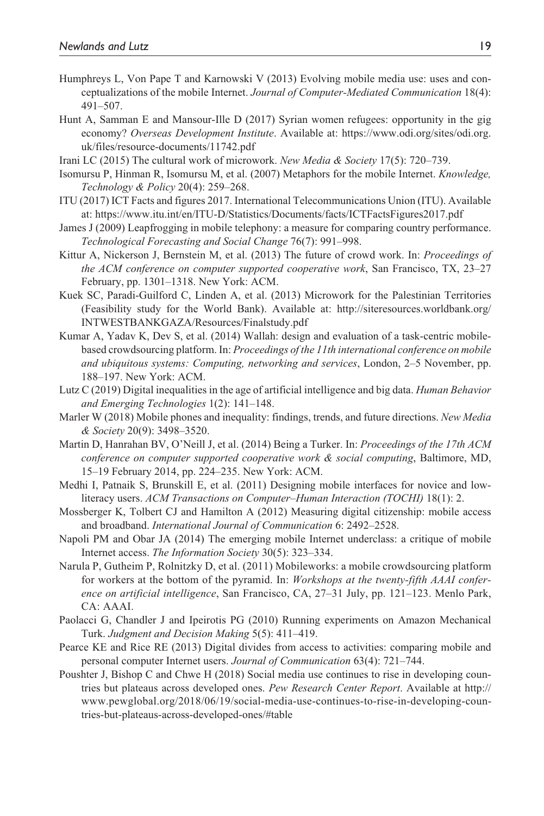- Humphreys L, Von Pape T and Karnowski V (2013) Evolving mobile media use: uses and conceptualizations of the mobile Internet. *Journal of Computer-Mediated Communication* 18(4): 491–507.
- Hunt A, Samman E and Mansour-Ille D (2017) Syrian women refugees: opportunity in the gig economy? *Overseas Development Institute*. Available at: [https://www.odi.org/sites/odi.org.](https://www.odi.org/sites/odi.org.uk/files/resource-documents/11742.pdf) [uk/files/resource-documents/11742.pdf](https://www.odi.org/sites/odi.org.uk/files/resource-documents/11742.pdf)
- Irani LC (2015) The cultural work of microwork. *New Media & Society* 17(5): 720–739.
- Isomursu P, Hinman R, Isomursu M, et al. (2007) Metaphors for the mobile Internet. *Knowledge, Technology & Policy* 20(4): 259–268.
- ITU (2017) ICT Facts and figures 2017. International Telecommunications Union (ITU). Available at:<https://www.itu.int/en/ITU-D/Statistics/Documents/facts/ICTFactsFigures2017.pdf>
- James J (2009) Leapfrogging in mobile telephony: a measure for comparing country performance. *Technological Forecasting and Social Change* 76(7): 991–998.
- Kittur A, Nickerson J, Bernstein M, et al. (2013) The future of crowd work. In: *Proceedings of the ACM conference on computer supported cooperative work*, San Francisco, TX, 23–27 February, pp. 1301–1318. New York: ACM.
- Kuek SC, Paradi-Guilford C, Linden A, et al. (2013) Microwork for the Palestinian Territories (Feasibility study for the World Bank). Available at: [http://siteresources.worldbank.org/](http://siteresources.worldbank.org/INTWESTBANKGAZA/Resources/Finalstudy.pdf) [INTWESTBANKGAZA/Resources/Finalstudy.pdf](http://siteresources.worldbank.org/INTWESTBANKGAZA/Resources/Finalstudy.pdf)
- Kumar A, Yadav K, Dev S, et al. (2014) Wallah: design and evaluation of a task-centric mobilebased crowdsourcing platform. In: *Proceedings of the 11th international conference on mobile and ubiquitous systems: Computing, networking and services*, London, 2–5 November, pp. 188–197. New York: ACM.
- Lutz C (2019) Digital inequalities in the age of artificial intelligence and big data. *Human Behavior and Emerging Technologies* 1(2): 141–148.
- Marler W (2018) Mobile phones and inequality: findings, trends, and future directions. *New Media & Society* 20(9): 3498–3520.
- Martin D, Hanrahan BV, O'Neill J, et al. (2014) Being a Turker. In: *Proceedings of the 17th ACM conference on computer supported cooperative work & social computing*, Baltimore, MD, 15–19 February 2014, pp. 224–235. New York: ACM.
- Medhi I, Patnaik S, Brunskill E, et al. (2011) Designing mobile interfaces for novice and lowliteracy users. *ACM Transactions on Computer–Human Interaction (TOCHI)* 18(1): 2.
- Mossberger K, Tolbert CJ and Hamilton A (2012) Measuring digital citizenship: mobile access and broadband. *International Journal of Communication* 6: 2492–2528.
- Napoli PM and Obar JA (2014) The emerging mobile Internet underclass: a critique of mobile Internet access. *The Information Society* 30(5): 323–334.
- Narula P, Gutheim P, Rolnitzky D, et al. (2011) Mobileworks: a mobile crowdsourcing platform for workers at the bottom of the pyramid. In: *Workshops at the twenty-fifth AAAI conference on artificial intelligence*, San Francisco, CA, 27–31 July, pp. 121–123. Menlo Park, CA: AAAI.
- Paolacci G, Chandler J and Ipeirotis PG (2010) Running experiments on Amazon Mechanical Turk. *Judgment and Decision Making* 5(5): 411–419.
- Pearce KE and Rice RE (2013) Digital divides from access to activities: comparing mobile and personal computer Internet users. *Journal of Communication* 63(4): 721–744.
- Poushter J, Bishop C and Chwe H (2018) Social media use continues to rise in developing countries but plateaus across developed ones. *Pew Research Center Report*. Available at [http://](http://www.pewglobal.org/2018/06/19/social-media-use-continues-to-rise-in-developing-countries-but-plateaus-across-developed-ones/#table) [www.pewglobal.org/2018/06/19/social-media-use-continues-to-rise-in-developing-coun](http://www.pewglobal.org/2018/06/19/social-media-use-continues-to-rise-in-developing-countries-but-plateaus-across-developed-ones/#table)[tries-but-plateaus-across-developed-ones/#table](http://www.pewglobal.org/2018/06/19/social-media-use-continues-to-rise-in-developing-countries-but-plateaus-across-developed-ones/#table)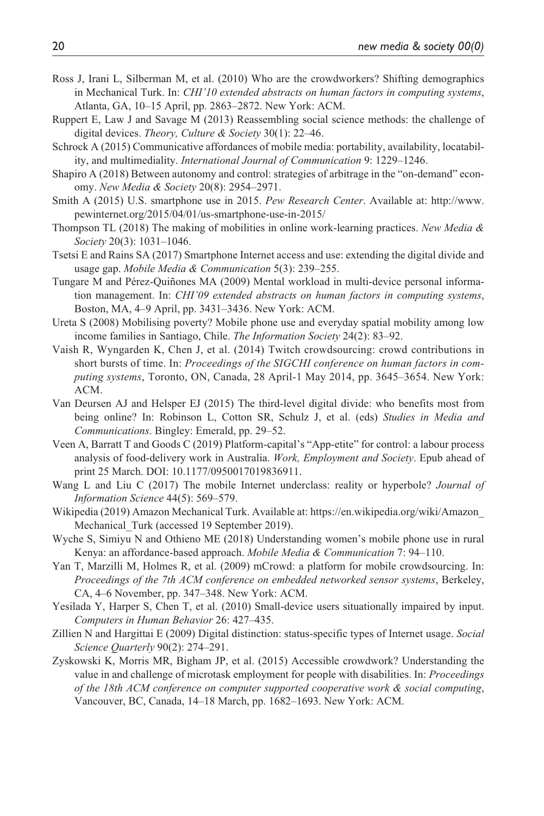- Ross J, Irani L, Silberman M, et al. (2010) Who are the crowdworkers? Shifting demographics in Mechanical Turk. In: *CHI'10 extended abstracts on human factors in computing systems*, Atlanta, GA, 10–15 April, pp. 2863–2872. New York: ACM.
- Ruppert E, Law J and Savage M (2013) Reassembling social science methods: the challenge of digital devices. *Theory, Culture & Society* 30(1): 22–46.
- Schrock A (2015) Communicative affordances of mobile media: portability, availability, locatability, and multimediality. *International Journal of Communication* 9: 1229–1246.
- Shapiro A (2018) Between autonomy and control: strategies of arbitrage in the "on-demand" economy. *New Media & Society* 20(8): 2954–2971.
- Smith A (2015) U.S. smartphone use in 2015. *Pew Research Center*. Available at: [http://www.](http://www.pewinternet.org/2015/04/01/us-smartphone-use-in-2015/) [pewinternet.org/2015/04/01/us-smartphone-use-in-2015/](http://www.pewinternet.org/2015/04/01/us-smartphone-use-in-2015/)
- Thompson TL (2018) The making of mobilities in online work-learning practices. *New Media & Society* 20(3): 1031–1046.
- Tsetsi E and Rains SA (2017) Smartphone Internet access and use: extending the digital divide and usage gap. *Mobile Media & Communication* 5(3): 239–255.
- Tungare M and Pérez-Quiñones MA (2009) Mental workload in multi-device personal information management. In: *CHI'09 extended abstracts on human factors in computing systems*, Boston, MA, 4–9 April, pp. 3431–3436. New York: ACM.
- Ureta S (2008) Mobilising poverty? Mobile phone use and everyday spatial mobility among low income families in Santiago, Chile. *The Information Society* 24(2): 83–92.
- Vaish R, Wyngarden K, Chen J, et al. (2014) Twitch crowdsourcing: crowd contributions in short bursts of time. In: *Proceedings of the SIGCHI conference on human factors in computing systems*, Toronto, ON, Canada, 28 April-1 May 2014, pp. 3645–3654. New York: ACM.
- Van Deursen AJ and Helsper EJ (2015) The third-level digital divide: who benefits most from being online? In: Robinson L, Cotton SR, Schulz J, et al. (eds) *Studies in Media and Communications*. Bingley: Emerald, pp. 29–52.
- Veen A, Barratt T and Goods C (2019) Platform-capital's "App-etite" for control: a labour process analysis of food-delivery work in Australia. *Work, Employment and Society*. Epub ahead of print 25 March. DOI: 10.1177/0950017019836911.
- Wang L and Liu C (2017) The mobile Internet underclass: reality or hyperbole? *Journal of Information Science* 44(5): 569–579.
- Wikipedia (2019) Amazon Mechanical Turk. Available at: [https://en.wikipedia.org/wiki/Amazon\\_](https://en.wikipedia.org/wiki/Amazon_Mechanical_Turk) Mechanical Turk (accessed 19 September 2019).
- Wyche S, Simiyu N and Othieno ME (2018) Understanding women's mobile phone use in rural Kenya: an affordance-based approach. *Mobile Media & Communication* 7: 94–110.
- Yan T, Marzilli M, Holmes R, et al. (2009) mCrowd: a platform for mobile crowdsourcing. In: *Proceedings of the 7th ACM conference on embedded networked sensor systems*, Berkeley, CA, 4–6 November, pp. 347–348. New York: ACM.
- Yesilada Y, Harper S, Chen T, et al. (2010) Small-device users situationally impaired by input. *Computers in Human Behavior* 26: 427–435.
- Zillien N and Hargittai E (2009) Digital distinction: status-specific types of Internet usage. *Social Science Quarterly* 90(2): 274–291.
- Zyskowski K, Morris MR, Bigham JP, et al. (2015) Accessible crowdwork? Understanding the value in and challenge of microtask employment for people with disabilities. In: *Proceedings of the 18th ACM conference on computer supported cooperative work & social computing*, Vancouver, BC, Canada, 14–18 March, pp. 1682–1693. New York: ACM.